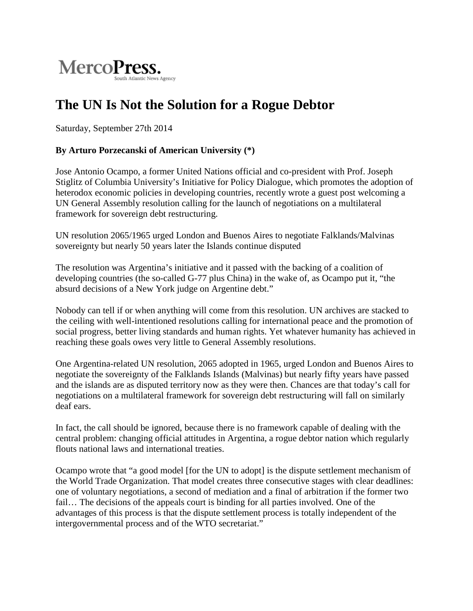

## **The UN Is Not the Solution for a Rogue Debtor**

Saturday, [September](http://en.mercopress.com/2014/09) [27th](http://en.mercopress.com/2014/09/27) [2014](http://en.mercopress.com/2014)

## **By Arturo Porzecanski of American University (\*)**

Jose Antonio Ocampo, a former United Nations official and co-president with Prof. Joseph Stiglitz of Columbia University's Initiative for Policy Dialogue, which promotes the adoption of heterodox economic policies in developing countries, recently wrote a guest post welcoming a UN General Assembly resolution calling for the launch of negotiations on a multilateral framework for sovereign debt restructuring.

UN resolution 2065/1965 urged London and Buenos Aires to negotiate Falklands/Malvinas sovereignty but nearly 50 years later the Islands continue disputed

The resolution was Argentina's initiative and it passed with the backing of a coalition of developing countries (the so-called G-77 plus China) in the wake of, as Ocampo put it, "the absurd decisions of a New York judge on Argentine debt."

Nobody can tell if or when anything will come from this resolution. UN archives are stacked to the ceiling with well-intentioned resolutions calling for international peace and the promotion of social progress, better living standards and human rights. Yet whatever humanity has achieved in reaching these goals owes very little to General Assembly resolutions.

One Argentina-related UN resolution, 2065 adopted in 1965, urged London and Buenos Aires to negotiate the sovereignty of the Falklands Islands (Malvinas) but nearly fifty years have passed and the islands are as disputed territory now as they were then. Chances are that today's call for negotiations on a multilateral framework for sovereign debt restructuring will fall on similarly deaf ears.

In fact, the call should be ignored, because there is no framework capable of dealing with the central problem: changing official attitudes in Argentina, a rogue debtor nation which regularly flouts national laws and international treaties.

Ocampo wrote that "a good model [for the UN to adopt] is the dispute settlement mechanism of the World Trade Organization. That model creates three consecutive stages with clear deadlines: one of voluntary negotiations, a second of mediation and a final of arbitration if the former two fail… The decisions of the appeals court is binding for all parties involved. One of the advantages of this process is that the dispute settlement process is totally independent of the intergovernmental process and of the WTO secretariat."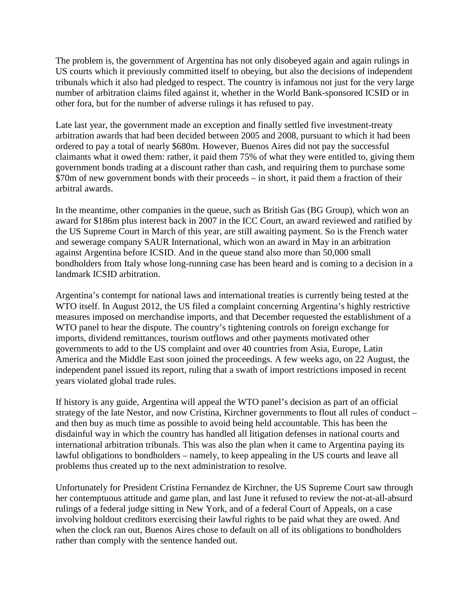The problem is, the government of Argentina has not only disobeyed again and again rulings in US courts which it previously committed itself to obeying, but also the decisions of independent tribunals which it also had pledged to respect. The country is infamous not just for the very large number of arbitration claims filed against it, whether in the World Bank-sponsored ICSID or in other fora, but for the number of adverse rulings it has refused to pay.

Late last year, the government made an exception and finally settled five investment-treaty arbitration awards that had been decided between 2005 and 2008, pursuant to which it had been ordered to pay a total of nearly \$680m. However, Buenos Aires did not pay the successful claimants what it owed them: rather, it paid them 75% of what they were entitled to, giving them government bonds trading at a discount rather than cash, and requiring them to purchase some \$70m of new government bonds with their proceeds – in short, it paid them a fraction of their arbitral awards.

In the meantime, other companies in the queue, such as British Gas (BG Group), which won an award for \$186m plus interest back in 2007 in the ICC Court, an award reviewed and ratified by the US Supreme Court in March of this year, are still awaiting payment. So is the French water and sewerage company SAUR International, which won an award in May in an arbitration against Argentina before ICSID. And in the queue stand also more than 50,000 small bondholders from Italy whose long-running case has been heard and is coming to a decision in a landmark ICSID arbitration.

Argentina's contempt for national laws and international treaties is currently being tested at the WTO itself. In August 2012, the US filed a complaint concerning Argentina's highly restrictive measures imposed on merchandise imports, and that December requested the establishment of a WTO panel to hear the dispute. The country's tightening controls on foreign exchange for imports, dividend remittances, tourism outflows and other payments motivated other governments to add to the US complaint and over 40 countries from Asia, Europe, Latin America and the Middle East soon joined the proceedings. A few weeks ago, on 22 August, the independent panel issued its report, ruling that a swath of import restrictions imposed in recent years violated global trade rules.

If history is any guide, Argentina will appeal the WTO panel's decision as part of an official strategy of the late Nestor, and now Cristina, Kirchner governments to flout all rules of conduct – and then buy as much time as possible to avoid being held accountable. This has been the disdainful way in which the country has handled all litigation defenses in national courts and international arbitration tribunals. This was also the plan when it came to Argentina paying its lawful obligations to bondholders – namely, to keep appealing in the US courts and leave all problems thus created up to the next administration to resolve.

Unfortunately for President Cristina Fernandez de Kirchner, the US Supreme Court saw through her contemptuous attitude and game plan, and last June it refused to review the not-at-all-absurd rulings of a federal judge sitting in New York, and of a federal Court of Appeals, on a case involving holdout creditors exercising their lawful rights to be paid what they are owed. And when the clock ran out, Buenos Aires chose to default on all of its obligations to bondholders rather than comply with the sentence handed out.